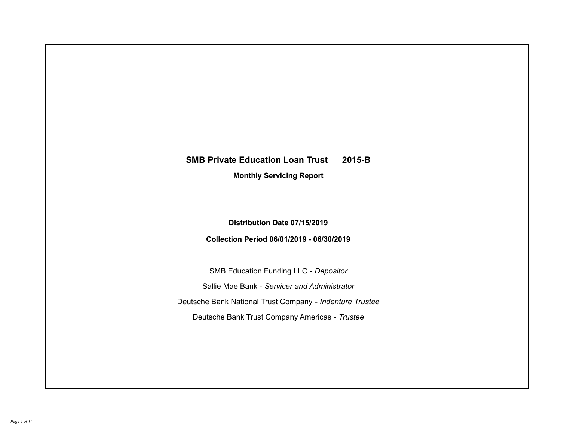# **SMB Private Education Loan Trust 2015-B Monthly Servicing Report**

## **Distribution Date 07/15/2019**

## **Collection Period 06/01/2019 - 06/30/2019**

SMB Education Funding LLC - *Depositor* Sallie Mae Bank - *Servicer and Administrator* Deutsche Bank National Trust Company - *Indenture Trustee* Deutsche Bank Trust Company Americas - *Trustee*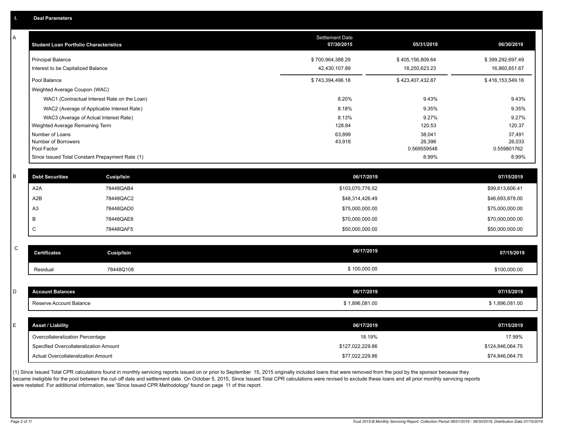| Α           | <b>Student Loan Portfolio Characteristics</b> |                                                 | Settlement Date<br>07/30/2015 | 05/31/2019           | 06/30/2019           |
|-------------|-----------------------------------------------|-------------------------------------------------|-------------------------------|----------------------|----------------------|
|             | <b>Principal Balance</b>                      |                                                 | \$700,964,388.29              | \$405,156,809.64     | \$399,292,697.49     |
|             | Interest to be Capitalized Balance            |                                                 | 42,430,107.89                 | 18,250,623.23        | 16,860,851.67        |
|             | Pool Balance                                  |                                                 | \$743,394,496.18              | \$423,407,432.87     | \$416,153,549.16     |
|             | Weighted Average Coupon (WAC)                 |                                                 |                               |                      |                      |
|             |                                               | WAC1 (Contractual Interest Rate on the Loan)    | 8.20%                         | 9.43%                | 9.43%                |
|             |                                               | WAC2 (Average of Applicable Interest Rate)      | 8.18%                         | 9.35%                | 9.35%                |
|             |                                               | WAC3 (Average of Actual Interest Rate)          | 8.13%                         | 9.27%                | 9.27%                |
|             | Weighted Average Remaining Term               |                                                 | 128.84                        | 120.53               | 120.37               |
|             | Number of Loans                               |                                                 | 63,899                        | 38,041               | 37,491               |
|             | Number of Borrowers                           |                                                 | 43,918                        | 26,396               | 26,033               |
|             | Pool Factor                                   |                                                 |                               | 0.569559548<br>8.99% | 0.559801762<br>8.99% |
|             |                                               | Since Issued Total Constant Prepayment Rate (1) |                               |                      |                      |
| B           | <b>Debt Securities</b>                        | <b>Cusip/Isin</b>                               | 06/17/2019                    |                      | 07/15/2019           |
|             | A <sub>2</sub> A                              | 78448QAB4                                       | \$103,070,776.52              |                      | \$99,613,606.41      |
|             | A <sub>2</sub> B                              | 78448QAC2                                       | \$48,314,426.49               |                      | \$46,693,878.00      |
|             | A <sub>3</sub>                                | 78448QAD0                                       | \$75,000,000.00               |                      | \$75,000,000.00      |
|             | B                                             | 78448QAE8                                       | \$70,000,000.00               |                      | \$70,000,000.00      |
|             | C                                             | 78448QAF5                                       | \$50,000,000.00               |                      | \$50,000,000.00      |
|             |                                               |                                                 |                               |                      |                      |
| $\mathsf C$ | <b>Certificates</b>                           | <b>Cusip/Isin</b>                               | 06/17/2019                    |                      | 07/15/2019           |
|             | Residual                                      | 78448Q108                                       | \$100,000.00                  |                      | \$100,000.00         |
|             |                                               |                                                 |                               |                      |                      |
| D           | <b>Account Balances</b>                       |                                                 | 06/17/2019                    |                      | 07/15/2019           |
|             | Reserve Account Balance                       |                                                 | \$1,896,081.00                |                      | \$1,896,081.00       |
|             |                                               |                                                 |                               |                      |                      |
| E           | <b>Asset / Liability</b>                      |                                                 | 06/17/2019                    |                      | 07/15/2019           |
|             | Overcollateralization Percentage              |                                                 | 18.19%                        |                      | 17.99%               |
|             | Specified Overcollateralization Amount        |                                                 | \$127,022,229.86              |                      | \$124,846,064.75     |
|             | Actual Overcollateralization Amount           |                                                 | \$77,022,229.86               |                      | \$74,846,064.75      |

(1) Since Issued Total CPR calculations found in monthly servicing reports issued on or prior to September 15, 2015 originally included loans that were removed from the pool by the sponsor because they .<br>became ineligible for the pool between the cut-off date and settlement date. On October 5, 2015, Since Issued Total CPR calculations were revised to exclude these loans and all prior monthly servicing reports were restated. For additional information, see 'Since Issued CPR Methodology' found on page 11 of this report.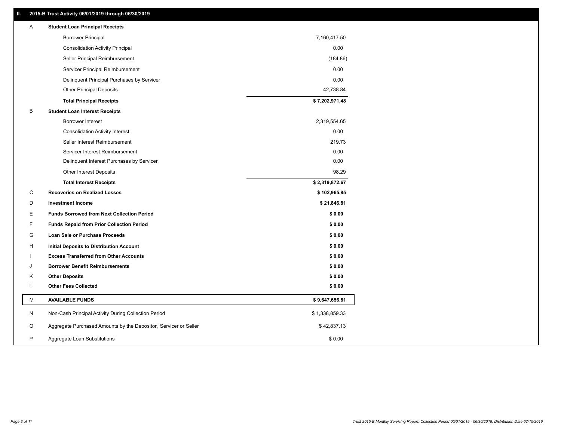### **II. 2015-B Trust Activity 06/01/2019 through 06/30/2019**

| <b>Borrower Principal</b><br>7,160,417.50<br>0.00<br><b>Consolidation Activity Principal</b><br>Seller Principal Reimbursement<br>(184.86)<br>Servicer Principal Reimbursement<br>0.00<br>0.00<br>Delinquent Principal Purchases by Servicer<br><b>Other Principal Deposits</b><br>42,738.84<br>\$7,202,971.48<br><b>Total Principal Receipts</b><br>B<br><b>Student Loan Interest Receipts</b><br><b>Borrower Interest</b><br>2,319,554.65<br>0.00<br><b>Consolidation Activity Interest</b><br>Seller Interest Reimbursement<br>219.73<br>Servicer Interest Reimbursement<br>0.00<br>Delinquent Interest Purchases by Servicer<br>0.00<br>98.29<br>Other Interest Deposits<br>\$2,319,872.67<br><b>Total Interest Receipts</b><br>C<br><b>Recoveries on Realized Losses</b><br>\$102,965.85<br>D<br><b>Investment Income</b><br>\$21,846.81<br>Е<br>\$0.00<br><b>Funds Borrowed from Next Collection Period</b><br>F<br><b>Funds Repaid from Prior Collection Period</b><br>\$0.00<br>G<br>\$0.00<br>Loan Sale or Purchase Proceeds<br>\$0.00<br>H<br>Initial Deposits to Distribution Account<br>\$0.00<br><b>Excess Transferred from Other Accounts</b><br><b>Borrower Benefit Reimbursements</b><br>\$0.00<br>J<br>\$0.00<br>Κ<br><b>Other Deposits</b><br>L<br><b>Other Fees Collected</b><br>\$0.00<br>М<br><b>AVAILABLE FUNDS</b><br>\$9,647,656.81<br>N<br>Non-Cash Principal Activity During Collection Period<br>\$1,338,859.33<br>O<br>Aggregate Purchased Amounts by the Depositor, Servicer or Seller<br>\$42,837.13<br>P<br>Aggregate Loan Substitutions<br>\$0.00 | A | <b>Student Loan Principal Receipts</b> |  |
|-----------------------------------------------------------------------------------------------------------------------------------------------------------------------------------------------------------------------------------------------------------------------------------------------------------------------------------------------------------------------------------------------------------------------------------------------------------------------------------------------------------------------------------------------------------------------------------------------------------------------------------------------------------------------------------------------------------------------------------------------------------------------------------------------------------------------------------------------------------------------------------------------------------------------------------------------------------------------------------------------------------------------------------------------------------------------------------------------------------------------------------------------------------------------------------------------------------------------------------------------------------------------------------------------------------------------------------------------------------------------------------------------------------------------------------------------------------------------------------------------------------------------------------------------------------------------------------|---|----------------------------------------|--|
|                                                                                                                                                                                                                                                                                                                                                                                                                                                                                                                                                                                                                                                                                                                                                                                                                                                                                                                                                                                                                                                                                                                                                                                                                                                                                                                                                                                                                                                                                                                                                                                   |   |                                        |  |
|                                                                                                                                                                                                                                                                                                                                                                                                                                                                                                                                                                                                                                                                                                                                                                                                                                                                                                                                                                                                                                                                                                                                                                                                                                                                                                                                                                                                                                                                                                                                                                                   |   |                                        |  |
|                                                                                                                                                                                                                                                                                                                                                                                                                                                                                                                                                                                                                                                                                                                                                                                                                                                                                                                                                                                                                                                                                                                                                                                                                                                                                                                                                                                                                                                                                                                                                                                   |   |                                        |  |
|                                                                                                                                                                                                                                                                                                                                                                                                                                                                                                                                                                                                                                                                                                                                                                                                                                                                                                                                                                                                                                                                                                                                                                                                                                                                                                                                                                                                                                                                                                                                                                                   |   |                                        |  |
|                                                                                                                                                                                                                                                                                                                                                                                                                                                                                                                                                                                                                                                                                                                                                                                                                                                                                                                                                                                                                                                                                                                                                                                                                                                                                                                                                                                                                                                                                                                                                                                   |   |                                        |  |
|                                                                                                                                                                                                                                                                                                                                                                                                                                                                                                                                                                                                                                                                                                                                                                                                                                                                                                                                                                                                                                                                                                                                                                                                                                                                                                                                                                                                                                                                                                                                                                                   |   |                                        |  |
|                                                                                                                                                                                                                                                                                                                                                                                                                                                                                                                                                                                                                                                                                                                                                                                                                                                                                                                                                                                                                                                                                                                                                                                                                                                                                                                                                                                                                                                                                                                                                                                   |   |                                        |  |
|                                                                                                                                                                                                                                                                                                                                                                                                                                                                                                                                                                                                                                                                                                                                                                                                                                                                                                                                                                                                                                                                                                                                                                                                                                                                                                                                                                                                                                                                                                                                                                                   |   |                                        |  |
|                                                                                                                                                                                                                                                                                                                                                                                                                                                                                                                                                                                                                                                                                                                                                                                                                                                                                                                                                                                                                                                                                                                                                                                                                                                                                                                                                                                                                                                                                                                                                                                   |   |                                        |  |
|                                                                                                                                                                                                                                                                                                                                                                                                                                                                                                                                                                                                                                                                                                                                                                                                                                                                                                                                                                                                                                                                                                                                                                                                                                                                                                                                                                                                                                                                                                                                                                                   |   |                                        |  |
|                                                                                                                                                                                                                                                                                                                                                                                                                                                                                                                                                                                                                                                                                                                                                                                                                                                                                                                                                                                                                                                                                                                                                                                                                                                                                                                                                                                                                                                                                                                                                                                   |   |                                        |  |
|                                                                                                                                                                                                                                                                                                                                                                                                                                                                                                                                                                                                                                                                                                                                                                                                                                                                                                                                                                                                                                                                                                                                                                                                                                                                                                                                                                                                                                                                                                                                                                                   |   |                                        |  |
|                                                                                                                                                                                                                                                                                                                                                                                                                                                                                                                                                                                                                                                                                                                                                                                                                                                                                                                                                                                                                                                                                                                                                                                                                                                                                                                                                                                                                                                                                                                                                                                   |   |                                        |  |
|                                                                                                                                                                                                                                                                                                                                                                                                                                                                                                                                                                                                                                                                                                                                                                                                                                                                                                                                                                                                                                                                                                                                                                                                                                                                                                                                                                                                                                                                                                                                                                                   |   |                                        |  |
|                                                                                                                                                                                                                                                                                                                                                                                                                                                                                                                                                                                                                                                                                                                                                                                                                                                                                                                                                                                                                                                                                                                                                                                                                                                                                                                                                                                                                                                                                                                                                                                   |   |                                        |  |
|                                                                                                                                                                                                                                                                                                                                                                                                                                                                                                                                                                                                                                                                                                                                                                                                                                                                                                                                                                                                                                                                                                                                                                                                                                                                                                                                                                                                                                                                                                                                                                                   |   |                                        |  |
|                                                                                                                                                                                                                                                                                                                                                                                                                                                                                                                                                                                                                                                                                                                                                                                                                                                                                                                                                                                                                                                                                                                                                                                                                                                                                                                                                                                                                                                                                                                                                                                   |   |                                        |  |
|                                                                                                                                                                                                                                                                                                                                                                                                                                                                                                                                                                                                                                                                                                                                                                                                                                                                                                                                                                                                                                                                                                                                                                                                                                                                                                                                                                                                                                                                                                                                                                                   |   |                                        |  |
|                                                                                                                                                                                                                                                                                                                                                                                                                                                                                                                                                                                                                                                                                                                                                                                                                                                                                                                                                                                                                                                                                                                                                                                                                                                                                                                                                                                                                                                                                                                                                                                   |   |                                        |  |
|                                                                                                                                                                                                                                                                                                                                                                                                                                                                                                                                                                                                                                                                                                                                                                                                                                                                                                                                                                                                                                                                                                                                                                                                                                                                                                                                                                                                                                                                                                                                                                                   |   |                                        |  |
|                                                                                                                                                                                                                                                                                                                                                                                                                                                                                                                                                                                                                                                                                                                                                                                                                                                                                                                                                                                                                                                                                                                                                                                                                                                                                                                                                                                                                                                                                                                                                                                   |   |                                        |  |
|                                                                                                                                                                                                                                                                                                                                                                                                                                                                                                                                                                                                                                                                                                                                                                                                                                                                                                                                                                                                                                                                                                                                                                                                                                                                                                                                                                                                                                                                                                                                                                                   |   |                                        |  |
|                                                                                                                                                                                                                                                                                                                                                                                                                                                                                                                                                                                                                                                                                                                                                                                                                                                                                                                                                                                                                                                                                                                                                                                                                                                                                                                                                                                                                                                                                                                                                                                   |   |                                        |  |
|                                                                                                                                                                                                                                                                                                                                                                                                                                                                                                                                                                                                                                                                                                                                                                                                                                                                                                                                                                                                                                                                                                                                                                                                                                                                                                                                                                                                                                                                                                                                                                                   |   |                                        |  |
|                                                                                                                                                                                                                                                                                                                                                                                                                                                                                                                                                                                                                                                                                                                                                                                                                                                                                                                                                                                                                                                                                                                                                                                                                                                                                                                                                                                                                                                                                                                                                                                   |   |                                        |  |
|                                                                                                                                                                                                                                                                                                                                                                                                                                                                                                                                                                                                                                                                                                                                                                                                                                                                                                                                                                                                                                                                                                                                                                                                                                                                                                                                                                                                                                                                                                                                                                                   |   |                                        |  |
|                                                                                                                                                                                                                                                                                                                                                                                                                                                                                                                                                                                                                                                                                                                                                                                                                                                                                                                                                                                                                                                                                                                                                                                                                                                                                                                                                                                                                                                                                                                                                                                   |   |                                        |  |
|                                                                                                                                                                                                                                                                                                                                                                                                                                                                                                                                                                                                                                                                                                                                                                                                                                                                                                                                                                                                                                                                                                                                                                                                                                                                                                                                                                                                                                                                                                                                                                                   |   |                                        |  |
|                                                                                                                                                                                                                                                                                                                                                                                                                                                                                                                                                                                                                                                                                                                                                                                                                                                                                                                                                                                                                                                                                                                                                                                                                                                                                                                                                                                                                                                                                                                                                                                   |   |                                        |  |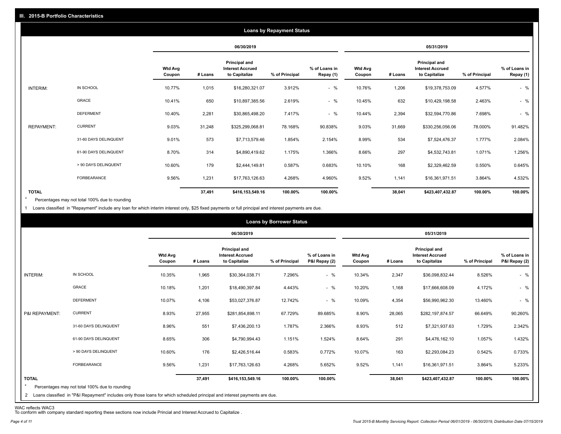|                   |                       |                          |         |                                                           | <b>Loans by Repayment Status</b> |                            |                          |         |                                                           |                |                            |
|-------------------|-----------------------|--------------------------|---------|-----------------------------------------------------------|----------------------------------|----------------------------|--------------------------|---------|-----------------------------------------------------------|----------------|----------------------------|
|                   |                       |                          |         | 06/30/2019                                                |                                  |                            |                          |         | 05/31/2019                                                |                |                            |
|                   |                       | <b>Wtd Avg</b><br>Coupon | # Loans | Principal and<br><b>Interest Accrued</b><br>to Capitalize | % of Principal                   | % of Loans in<br>Repay (1) | <b>Wtd Avg</b><br>Coupon | # Loans | Principal and<br><b>Interest Accrued</b><br>to Capitalize | % of Principal | % of Loans in<br>Repay (1) |
| INTERIM:          | IN SCHOOL             | 10.77%                   | 1,015   | \$16,280,321.07                                           | 3.912%                           | $-$ %                      | 10.76%                   | 1,206   | \$19,378,753.09                                           | 4.577%         | $-$ %                      |
|                   | GRACE                 | 10.41%                   | 650     | \$10,897,385.56                                           | 2.619%                           | $-$ %                      | 10.45%                   | 632     | \$10,429,198.58                                           | 2.463%         | $-$ %                      |
|                   | <b>DEFERMENT</b>      | 10.40%                   | 2,281   | \$30,865,498.20                                           | 7.417%                           | $-$ %                      | 10.44%                   | 2,394   | \$32,594,770.86                                           | 7.698%         | $-$ %                      |
| <b>REPAYMENT:</b> | <b>CURRENT</b>        | 9.03%                    | 31,248  | \$325,299,068.81                                          | 78.168%                          | 90.838%                    | 9.03%                    | 31,669  | \$330,256,056.06                                          | 78.000%        | 91.482%                    |
|                   | 31-60 DAYS DELINQUENT | 9.01%                    | 573     | \$7,713,579.46                                            | 1.854%                           | 2.154%                     | 8.99%                    | 534     | \$7,524,476.37                                            | 1.777%         | 2.084%                     |
|                   | 61-90 DAYS DELINQUENT | 8.70%                    | 314     | \$4,890,419.62                                            | 1.175%                           | 1.366%                     | 8.66%                    | 297     | \$4,532,743.81                                            | 1.071%         | 1.256%                     |
|                   | > 90 DAYS DELINQUENT  | 10.60%                   | 179     | \$2,444,149.81                                            | 0.587%                           | 0.683%                     | 10.10%                   | 168     | \$2,329,462.59                                            | 0.550%         | 0.645%                     |
|                   | FORBEARANCE           | 9.56%                    | 1,231   | \$17,763,126.63                                           | 4.268%                           | 4.960%                     | 9.52%                    | 1,141   | \$16,361,971.51                                           | 3.864%         | 4.532%                     |
| <b>TOTAL</b>      |                       |                          | 37,491  | \$416,153,549.16                                          | 100.00%                          | 100.00%                    |                          | 38,041  | \$423,407,432.87                                          | 100.00%        | 100.00%                    |

Percentages may not total 100% due to rounding  $\star$ 

1 Loans classified in "Repayment" include any loan for which interim interest only, \$25 fixed payments or full principal and interest payments are due.

| 06/30/2019<br>05/31/2019<br><b>Principal and</b><br><b>Principal and</b><br><b>Wtd Avg</b><br><b>Interest Accrued</b><br>% of Loans in<br><b>Wtd Avg</b><br><b>Interest Accrued</b><br>to Capitalize<br>P&I Repay (2)<br>to Capitalize<br>% of Principal<br># Loans<br>% of Principal<br>Coupon<br># Loans<br>Coupon<br>$-$ %<br>IN SCHOOL<br>INTERIM:<br>10.35%<br>7.296%<br>10.34%<br>8.526%<br>1,965<br>\$30,364,038.71<br>2,347<br>\$36,098,832.44<br>GRACE<br>$-$ %<br>10.18%<br>1,201<br>4.443%<br>10.20%<br>1,168<br>4.172%<br>\$18,490,397.84<br>\$17,666,608.09<br><b>DEFERMENT</b><br>$-$ %<br>10.07%<br>4,106<br>12.742%<br>10.09%<br>4,354<br>13.460%<br>\$53,027,376.87<br>\$56,990,962.30<br><b>CURRENT</b><br>8.93%<br>27,955<br>67.729%<br>8.90%<br>28,065<br>P&I REPAYMENT:<br>89.685%<br>\$282,197,874.57<br>66.649%<br>\$281,854,898.11<br>31-60 DAYS DELINQUENT<br>8.96%<br>551<br>1.787%<br>8.93%<br>512<br>1.729%<br>\$7,436,200.13<br>2.366%<br>\$7,321,937.63<br>8.65%<br>306<br>291<br>1.057%<br>61-90 DAYS DELINQUENT<br>1.151%<br>1.524%<br>8.64%<br>\$4,790,994.43<br>\$4,476,162.10<br>> 90 DAYS DELINQUENT<br>10.60%<br>176<br>163<br>0.583%<br>0.772%<br>10.07%<br>\$2,293,084.23<br>0.542%<br>\$2,426,516.44 |  |  | <b>Loans by Borrower Status</b> |  |  |                                |
|----------------------------------------------------------------------------------------------------------------------------------------------------------------------------------------------------------------------------------------------------------------------------------------------------------------------------------------------------------------------------------------------------------------------------------------------------------------------------------------------------------------------------------------------------------------------------------------------------------------------------------------------------------------------------------------------------------------------------------------------------------------------------------------------------------------------------------------------------------------------------------------------------------------------------------------------------------------------------------------------------------------------------------------------------------------------------------------------------------------------------------------------------------------------------------------------------------------------------------------------|--|--|---------------------------------|--|--|--------------------------------|
|                                                                                                                                                                                                                                                                                                                                                                                                                                                                                                                                                                                                                                                                                                                                                                                                                                                                                                                                                                                                                                                                                                                                                                                                                                              |  |  |                                 |  |  |                                |
|                                                                                                                                                                                                                                                                                                                                                                                                                                                                                                                                                                                                                                                                                                                                                                                                                                                                                                                                                                                                                                                                                                                                                                                                                                              |  |  |                                 |  |  | % of Loans in<br>P&I Repay (2) |
|                                                                                                                                                                                                                                                                                                                                                                                                                                                                                                                                                                                                                                                                                                                                                                                                                                                                                                                                                                                                                                                                                                                                                                                                                                              |  |  |                                 |  |  | $-$ %                          |
|                                                                                                                                                                                                                                                                                                                                                                                                                                                                                                                                                                                                                                                                                                                                                                                                                                                                                                                                                                                                                                                                                                                                                                                                                                              |  |  |                                 |  |  | $-$ %                          |
|                                                                                                                                                                                                                                                                                                                                                                                                                                                                                                                                                                                                                                                                                                                                                                                                                                                                                                                                                                                                                                                                                                                                                                                                                                              |  |  |                                 |  |  | $-$ %                          |
|                                                                                                                                                                                                                                                                                                                                                                                                                                                                                                                                                                                                                                                                                                                                                                                                                                                                                                                                                                                                                                                                                                                                                                                                                                              |  |  |                                 |  |  | 90.260%                        |
|                                                                                                                                                                                                                                                                                                                                                                                                                                                                                                                                                                                                                                                                                                                                                                                                                                                                                                                                                                                                                                                                                                                                                                                                                                              |  |  |                                 |  |  | 2.342%                         |
|                                                                                                                                                                                                                                                                                                                                                                                                                                                                                                                                                                                                                                                                                                                                                                                                                                                                                                                                                                                                                                                                                                                                                                                                                                              |  |  |                                 |  |  | 1.432%                         |
|                                                                                                                                                                                                                                                                                                                                                                                                                                                                                                                                                                                                                                                                                                                                                                                                                                                                                                                                                                                                                                                                                                                                                                                                                                              |  |  |                                 |  |  | 0.733%                         |
| FORBEARANCE<br>9.56%<br>9.52%<br>1,231<br>4.268%<br>5.652%<br>3.864%<br>\$17,763,126.63<br>1,141<br>\$16,361,971.51                                                                                                                                                                                                                                                                                                                                                                                                                                                                                                                                                                                                                                                                                                                                                                                                                                                                                                                                                                                                                                                                                                                          |  |  |                                 |  |  | 5.233%                         |
| <b>TOTAL</b><br>37,491<br>100.00%<br>100.00%<br>38,041<br>100.00%<br>\$416,153,549.16<br>\$423,407,432.87<br>$\star$<br>Percentages may not total 100% due to rounding<br>2 Loans classified in "P&I Repayment" includes only those loans for which scheduled principal and interest payments are due.                                                                                                                                                                                                                                                                                                                                                                                                                                                                                                                                                                                                                                                                                                                                                                                                                                                                                                                                       |  |  |                                 |  |  | 100.00%                        |

WAC reflects WAC3 To conform with company standard reporting these sections now include Princial and Interest Accrued to Capitalize .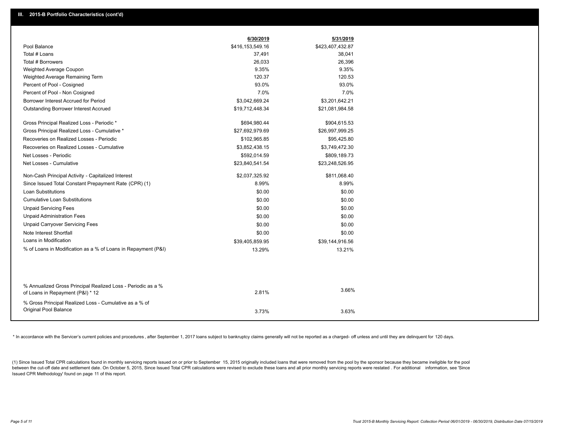|                                                                                                  | 6/30/2019        | 5/31/2019        |
|--------------------------------------------------------------------------------------------------|------------------|------------------|
| Pool Balance                                                                                     | \$416,153,549.16 | \$423,407,432.87 |
| Total # Loans                                                                                    | 37,491           | 38,041           |
| Total # Borrowers                                                                                | 26,033           | 26,396           |
| Weighted Average Coupon                                                                          | 9.35%            | 9.35%            |
| Weighted Average Remaining Term                                                                  | 120.37           | 120.53           |
| Percent of Pool - Cosigned                                                                       | 93.0%            | 93.0%            |
| Percent of Pool - Non Cosigned                                                                   | 7.0%             | 7.0%             |
| Borrower Interest Accrued for Period                                                             | \$3,042,669.24   | \$3,201,642.21   |
| Outstanding Borrower Interest Accrued                                                            | \$19,712,448.34  | \$21,081,984.58  |
| Gross Principal Realized Loss - Periodic *                                                       | \$694,980.44     | \$904,615.53     |
| Gross Principal Realized Loss - Cumulative *                                                     | \$27,692,979.69  | \$26,997,999.25  |
| Recoveries on Realized Losses - Periodic                                                         | \$102,965.85     | \$95,425.80      |
| Recoveries on Realized Losses - Cumulative                                                       | \$3,852,438.15   | \$3,749,472.30   |
| Net Losses - Periodic                                                                            | \$592,014.59     | \$809,189.73     |
| Net Losses - Cumulative                                                                          | \$23,840,541.54  | \$23,248,526.95  |
| Non-Cash Principal Activity - Capitalized Interest                                               | \$2,037,325.92   | \$811,068.40     |
| Since Issued Total Constant Prepayment Rate (CPR) (1)                                            | 8.99%            | 8.99%            |
| Loan Substitutions                                                                               | \$0.00           | \$0.00           |
| <b>Cumulative Loan Substitutions</b>                                                             | \$0.00           | \$0.00           |
| <b>Unpaid Servicing Fees</b>                                                                     | \$0.00           | \$0.00           |
| <b>Unpaid Administration Fees</b>                                                                | \$0.00           | \$0.00           |
| <b>Unpaid Carryover Servicing Fees</b>                                                           | \$0.00           | \$0.00           |
| Note Interest Shortfall                                                                          | \$0.00           | \$0.00           |
| Loans in Modification                                                                            | \$39,405,859.95  | \$39,144,916.56  |
| % of Loans in Modification as a % of Loans in Repayment (P&I)                                    | 13.29%           | 13.21%           |
|                                                                                                  |                  |                  |
|                                                                                                  |                  |                  |
| % Annualized Gross Principal Realized Loss - Periodic as a %<br>of Loans in Repayment (P&I) * 12 | 2.81%            | 3.66%            |
| % Gross Principal Realized Loss - Cumulative as a % of                                           |                  |                  |
| Original Pool Balance                                                                            | 3.73%            | 3.63%            |

\* In accordance with the Servicer's current policies and procedures, after September 1, 2017 loans subject to bankruptcy claims generally will not be reported as a charged- off unless and until they are delinquent for 120

(1) Since Issued Total CPR calculations found in monthly servicing reports issued on or prior to September 15, 2015 originally included loans that were removed from the pool by the sponsor because they became ineligible fo between the cut-off date and settlement date. On October 5, 2015, Since Issued Total CPR calculations were revised to exclude these loans and all prior monthly servicing reports were restated. For additional information, s Issued CPR Methodology' found on page 11 of this report.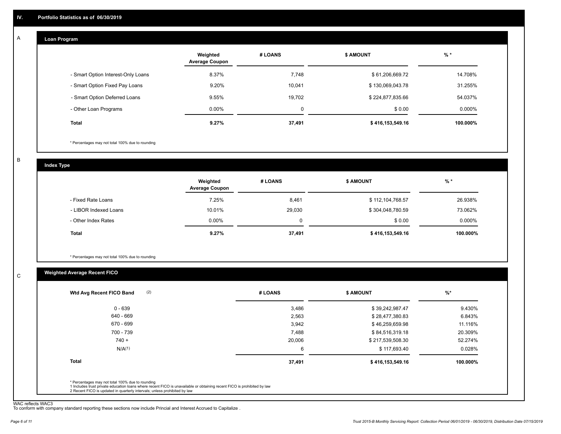#### **Loan Program**  A

|                                    | Weighted<br><b>Average Coupon</b> | # LOANS | <b>\$ AMOUNT</b> | $%$ *    |
|------------------------------------|-----------------------------------|---------|------------------|----------|
| - Smart Option Interest-Only Loans | 8.37%                             | 7,748   | \$61,206,669.72  | 14.708%  |
| - Smart Option Fixed Pay Loans     | 9.20%                             | 10,041  | \$130,069,043.78 | 31.255%  |
| - Smart Option Deferred Loans      | 9.55%                             | 19,702  | \$224,877,835.66 | 54.037%  |
| - Other Loan Programs              | $0.00\%$                          | 0       | \$0.00           | 0.000%   |
| <b>Total</b>                       | 9.27%                             | 37,491  | \$416,153,549.16 | 100.000% |

\* Percentages may not total 100% due to rounding

B

C

**Index Type**

|                       | Weighted<br><b>Average Coupon</b> | # LOANS  | \$ AMOUNT        | $%$ *    |
|-----------------------|-----------------------------------|----------|------------------|----------|
| - Fixed Rate Loans    | 7.25%                             | 8,461    | \$112,104,768.57 | 26.938%  |
| - LIBOR Indexed Loans | 10.01%                            | 29,030   | \$304,048,780.59 | 73.062%  |
| - Other Index Rates   | $0.00\%$                          | $\Omega$ | \$0.00           | 0.000%   |
| Total                 | 9.27%                             | 37,491   | \$416,153,549.16 | 100.000% |

\* Percentages may not total 100% due to rounding

### **Weighted Average Recent FICO**

|                    | # LOANS | <b>\$ AMOUNT</b> | $%$ *    |
|--------------------|---------|------------------|----------|
| $0 - 639$          | 3,486   | \$39,242,987.47  | 9.430%   |
| 640 - 669          | 2,563   | \$28,477,380.83  | 6.843%   |
| 670 - 699          | 3,942   | \$46,259,659.98  | 11.116%  |
| 700 - 739          | 7,488   | \$84,516,319.18  | 20.309%  |
| $740 +$            | 20,006  | \$217,539,508.30 | 52.274%  |
| N/A <sup>(1)</sup> | 6       | \$117,693.40     | 0.028%   |
| <b>Total</b>       | 37,491  | \$416,153,549.16 | 100.000% |

WAC reflects WAC3 To conform with company standard reporting these sections now include Princial and Interest Accrued to Capitalize .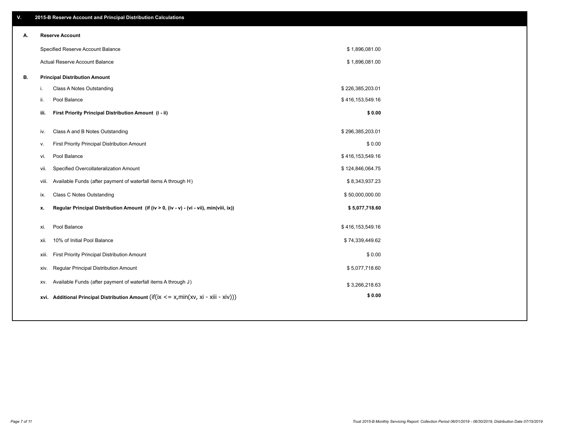| V. |       | 2015-B Reserve Account and Principal Distribution Calculations                             |                  |  |
|----|-------|--------------------------------------------------------------------------------------------|------------------|--|
| А. |       | <b>Reserve Account</b>                                                                     |                  |  |
|    |       | Specified Reserve Account Balance                                                          | \$1,896,081.00   |  |
|    |       | Actual Reserve Account Balance                                                             | \$1,896,081.00   |  |
| В. |       | <b>Principal Distribution Amount</b>                                                       |                  |  |
|    | i.    | Class A Notes Outstanding                                                                  | \$226,385,203.01 |  |
|    | ii.   | Pool Balance                                                                               | \$416,153,549.16 |  |
|    | iii.  | First Priority Principal Distribution Amount (i - ii)                                      | \$0.00           |  |
|    | iv.   | Class A and B Notes Outstanding                                                            | \$296,385,203.01 |  |
|    | v.    | First Priority Principal Distribution Amount                                               | \$0.00           |  |
|    | vi.   | Pool Balance                                                                               | \$416,153,549.16 |  |
|    | vii.  | Specified Overcollateralization Amount                                                     | \$124,846,064.75 |  |
|    | viii. | Available Funds (after payment of waterfall items A through H)                             | \$8,343,937.23   |  |
|    | ix.   | Class C Notes Outstanding                                                                  | \$50,000,000.00  |  |
|    | x.    | Regular Principal Distribution Amount (if (iv > 0, (iv - v) - (vi - vii), min(viii, ix))   | \$5,077,718.60   |  |
|    |       |                                                                                            |                  |  |
|    | xi.   | Pool Balance                                                                               | \$416,153,549.16 |  |
|    | xii.  | 10% of Initial Pool Balance                                                                | \$74,339,449.62  |  |
|    | xiii. | First Priority Principal Distribution Amount                                               | \$0.00           |  |
|    | XIV.  | Regular Principal Distribution Amount                                                      | \$5,077,718.60   |  |
|    | XV.   | Available Funds (after payment of waterfall items A through J)                             | \$3,266,218.63   |  |
|    |       | xvi. Additional Principal Distribution Amount (if(ix $\lt$ = x, min(xv, xi - xiii - xiv))) | \$0.00           |  |
|    |       |                                                                                            |                  |  |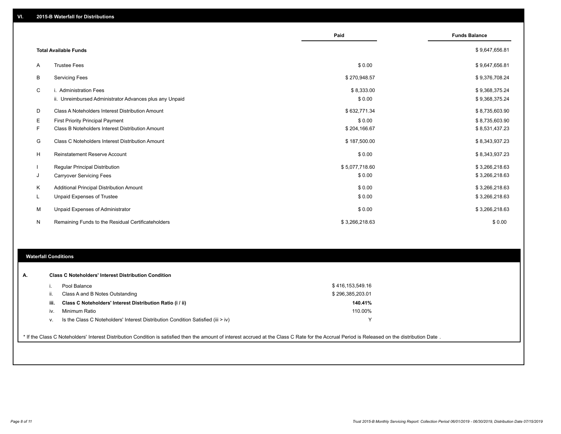|    |                                                         | Paid           | <b>Funds Balance</b> |
|----|---------------------------------------------------------|----------------|----------------------|
|    | <b>Total Available Funds</b>                            |                | \$9,647,656.81       |
| Α  | <b>Trustee Fees</b>                                     | \$0.00         | \$9,647,656.81       |
| В  | <b>Servicing Fees</b>                                   | \$270,948.57   | \$9,376,708.24       |
| C  | i. Administration Fees                                  | \$8,333.00     | \$9,368,375.24       |
|    | ii. Unreimbursed Administrator Advances plus any Unpaid | \$0.00         | \$9,368,375.24       |
| D  | Class A Noteholders Interest Distribution Amount        | \$632,771.34   | \$8,735,603.90       |
| Е  | First Priority Principal Payment                        | \$0.00         | \$8,735,603.90       |
| F. | Class B Noteholders Interest Distribution Amount        | \$204,166.67   | \$8,531,437.23       |
| G  | <b>Class C Noteholders Interest Distribution Amount</b> | \$187,500.00   | \$8,343,937.23       |
| H  | Reinstatement Reserve Account                           | \$0.00         | \$8,343,937.23       |
|    | Regular Principal Distribution                          | \$5,077,718.60 | \$3,266,218.63       |
| J  | <b>Carryover Servicing Fees</b>                         | \$0.00         | \$3,266,218.63       |
| Κ  | Additional Principal Distribution Amount                | \$0.00         | \$3,266,218.63       |
| L  | Unpaid Expenses of Trustee                              | \$0.00         | \$3,266,218.63       |
| M  | Unpaid Expenses of Administrator                        | \$0.00         | \$3,266,218.63       |
| N  | Remaining Funds to the Residual Certificateholders      | \$3,266,218.63 | \$0.00               |

#### **Waterfall Conditions**

|      | Pool Balance                                                                     | \$416,153,549.16 |  |
|------|----------------------------------------------------------------------------------|------------------|--|
| Ш.   | Class A and B Notes Outstanding                                                  | \$296,385,203.01 |  |
| iii. | Class C Noteholders' Interest Distribution Ratio (i / ii)                        | 140.41%          |  |
| IV.  | Minimum Ratio                                                                    | 110.00%          |  |
| v.   | Is the Class C Noteholders' Interest Distribution Condition Satisfied (iii > iv) | ٧                |  |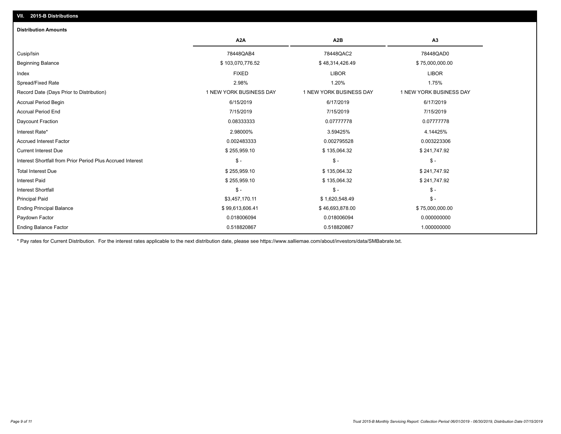# Current Interest Due \$ 255,959.10 \$ 135,064.32 \$ 241,747.92 Accrued Interest Factor 0.002483333 0.002795528 0.003223306 Interest Rate\* 2.98000% 3.59425% 4.14425% Daycount Fraction 0.08333333 0.07777778 0.07777778 Accrual Period End 7/15/2019 7/15/2019 7/15/2019 Accrual Period Begin 6/15/2019 6/17/2019 6/17/2019 Record Date (Days Prior to Distribution) 1 1 NEW YORK BUSINESS DAY 1 NEW YORK BUSINESS DAY 1 NEW YORK BUSINESS DAY Spread/Fixed Rate 2.98% 1.20% 1.75% Index FIXED LIBOR LIBOR Beginning Balance \$ 103,070,776.52 \$ 48,314,426.49 \$ 75,000,000.00 Cusip/Isin 78448QAB4 78448QAC2 78448QAD0 **A2A A2B A3 Distribution Amounts VII. 2015-B Distributions**

Ending Balance Factor Paydown Factor 0.018006094 0.018006094 0.000000000 Ending Principal Balance \$ 75,000,000.00 \$ \$ 99,613,606.41 \$ \$ 99,613,606.41 \$ \$ 46,693,878.00 \$ 75,000,000.00 Principal Paid \$3,457,170.11 \$ 1,620,548.49 \$ - 0.518820867 0.518820867 1.000000000

Interest Shortfall \$ - \$ - \$ - Interest Paid \$ 255,959.10 \$ 135,064.32 \$ 241,747.92 Total Interest Due \$ 255,959.10 \$ 135,064.32 \$ 241,747.92 Interest Shortfall from Prior Period Plus Accrued Interest \$ - \$ - \$ -

\* Pay rates for Current Distribution. For the interest rates applicable to the next distribution date, please see https://www.salliemae.com/about/investors/data/SMBabrate.txt.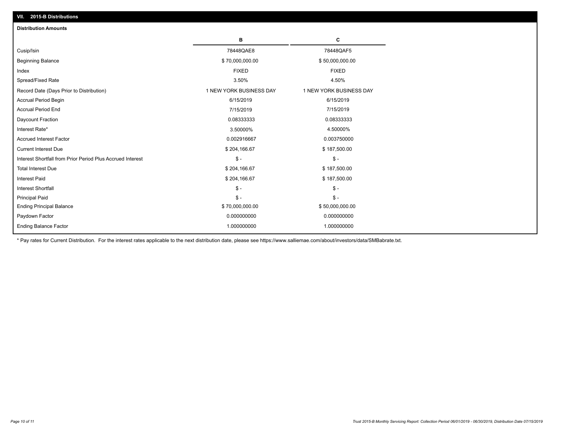| VII. 2015-B Distributions                                  |                         |                         |
|------------------------------------------------------------|-------------------------|-------------------------|
| <b>Distribution Amounts</b>                                |                         |                         |
|                                                            | в                       | C                       |
| Cusip/Isin                                                 | 78448QAE8               | 78448QAF5               |
| <b>Beginning Balance</b>                                   | \$70,000,000.00         | \$50,000,000.00         |
| Index                                                      | <b>FIXED</b>            | <b>FIXED</b>            |
| Spread/Fixed Rate                                          | 3.50%                   | 4.50%                   |
| Record Date (Days Prior to Distribution)                   | 1 NEW YORK BUSINESS DAY | 1 NEW YORK BUSINESS DAY |
| Accrual Period Begin                                       | 6/15/2019               | 6/15/2019               |
| <b>Accrual Period End</b>                                  | 7/15/2019               | 7/15/2019               |
| Daycount Fraction                                          | 0.08333333              | 0.08333333              |
| Interest Rate*                                             | 3.50000%                | 4.50000%                |
| <b>Accrued Interest Factor</b>                             | 0.002916667             | 0.003750000             |
| <b>Current Interest Due</b>                                | \$204,166.67            | \$187,500.00            |
| Interest Shortfall from Prior Period Plus Accrued Interest | $\mathsf{\$}$ -         | $\mathsf{\$}$ -         |
| <b>Total Interest Due</b>                                  | \$204,166.67            | \$187,500.00            |
| Interest Paid                                              | \$204,166.67            | \$187,500.00            |
| Interest Shortfall                                         | $\mathcal{S}$ -         | $\mathcal{S}$ -         |
| <b>Principal Paid</b>                                      | $\mathbb{S}$ -          | $\mathsf{\$}$ -         |
| <b>Ending Principal Balance</b>                            | \$70,000,000.00         | \$50,000,000.00         |
| Paydown Factor                                             | 0.000000000             | 0.000000000             |
| <b>Ending Balance Factor</b>                               | 1.000000000             | 1.000000000             |

\* Pay rates for Current Distribution. For the interest rates applicable to the next distribution date, please see https://www.salliemae.com/about/investors/data/SMBabrate.txt.